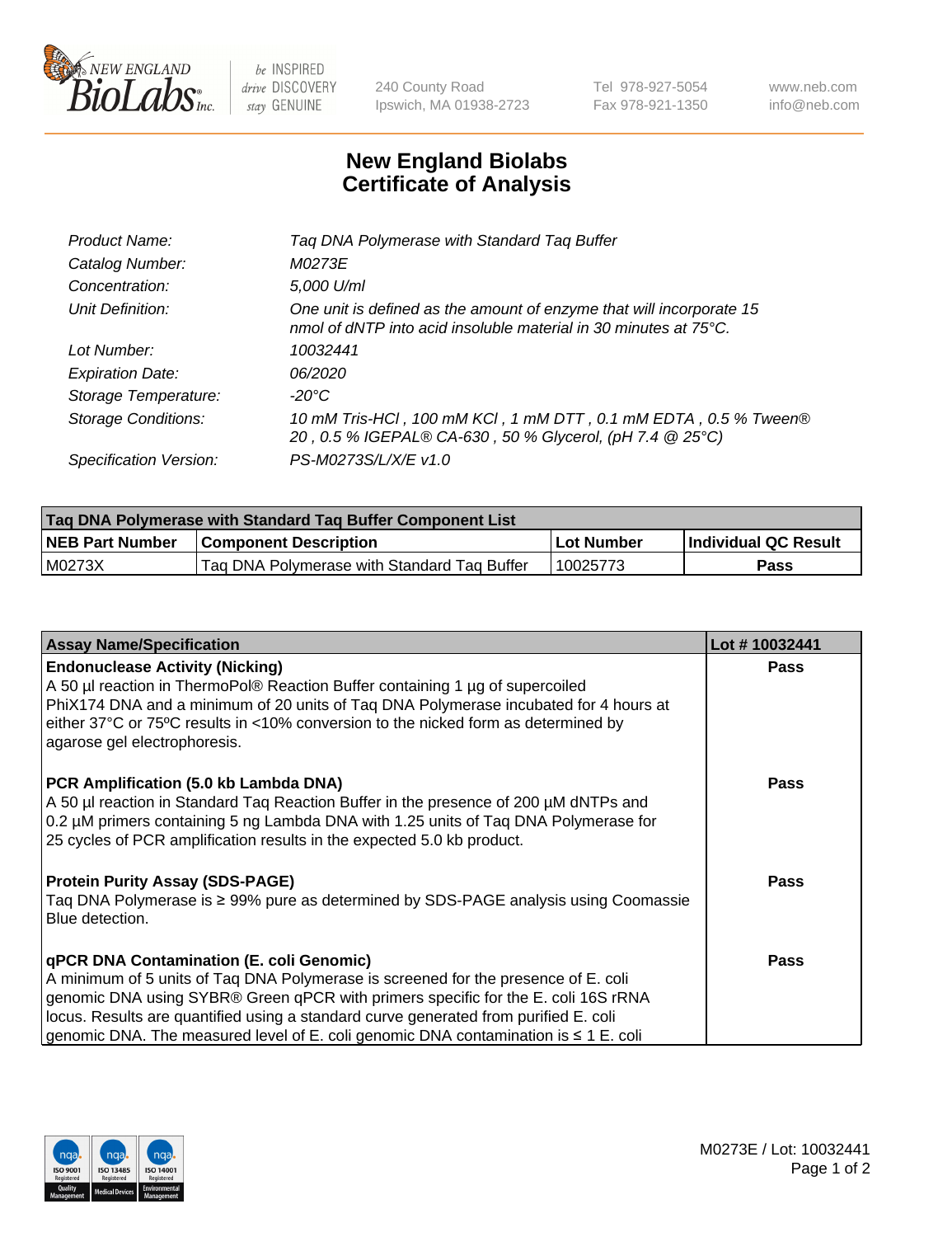

 $be$  INSPIRED drive DISCOVERY stay GENUINE

240 County Road Ipswich, MA 01938-2723 Tel 978-927-5054 Fax 978-921-1350 www.neb.com info@neb.com

## **New England Biolabs Certificate of Analysis**

| Tag DNA Polymerase with Standard Tag Buffer                                                                                              |
|------------------------------------------------------------------------------------------------------------------------------------------|
| M0273E                                                                                                                                   |
| 5,000 U/ml                                                                                                                               |
| One unit is defined as the amount of enzyme that will incorporate 15<br>nmol of dNTP into acid insoluble material in 30 minutes at 75°C. |
| 10032441                                                                                                                                 |
| 06/2020                                                                                                                                  |
| $-20^{\circ}$ C                                                                                                                          |
| 10 mM Tris-HCl, 100 mM KCl, 1 mM DTT, 0.1 mM EDTA, 0.5 % Tween®<br>20, 0.5 % IGEPAL® CA-630, 50 % Glycerol, (pH 7.4 @ 25°C)              |
| PS-M0273S/L/X/E v1.0                                                                                                                     |
|                                                                                                                                          |

| Tag DNA Polymerase with Standard Tag Buffer Component List |                                             |            |                      |  |  |
|------------------------------------------------------------|---------------------------------------------|------------|----------------------|--|--|
| <b>NEB Part Number</b>                                     | <b>Component Description</b>                | Lot Number | Individual QC Result |  |  |
| M0273X                                                     | Tag DNA Polymerase with Standard Tag Buffer | 10025773   | Pass                 |  |  |

| <b>Assay Name/Specification</b>                                                                                                                                                                                                                                                                                                                                                                         | Lot #10032441 |
|---------------------------------------------------------------------------------------------------------------------------------------------------------------------------------------------------------------------------------------------------------------------------------------------------------------------------------------------------------------------------------------------------------|---------------|
| <b>Endonuclease Activity (Nicking)</b><br>A 50 µl reaction in ThermoPol® Reaction Buffer containing 1 µg of supercoiled<br>PhiX174 DNA and a minimum of 20 units of Taq DNA Polymerase incubated for 4 hours at<br>either 37°C or 75°C results in <10% conversion to the nicked form as determined by<br>agarose gel electrophoresis.                                                                   | <b>Pass</b>   |
| PCR Amplification (5.0 kb Lambda DNA)<br>A 50 µl reaction in Standard Taq Reaction Buffer in the presence of 200 µM dNTPs and<br>0.2 µM primers containing 5 ng Lambda DNA with 1.25 units of Tag DNA Polymerase for<br>25 cycles of PCR amplification results in the expected 5.0 kb product.                                                                                                          | <b>Pass</b>   |
| <b>Protein Purity Assay (SDS-PAGE)</b><br>Taq DNA Polymerase is ≥ 99% pure as determined by SDS-PAGE analysis using Coomassie<br>Blue detection.                                                                                                                                                                                                                                                        | <b>Pass</b>   |
| qPCR DNA Contamination (E. coli Genomic)<br>A minimum of 5 units of Tag DNA Polymerase is screened for the presence of E. coli<br>genomic DNA using SYBR® Green qPCR with primers specific for the E. coli 16S rRNA<br>locus. Results are quantified using a standard curve generated from purified E. coli<br>genomic DNA. The measured level of E. coli genomic DNA contamination is $\leq 1$ E. coli | <b>Pass</b>   |